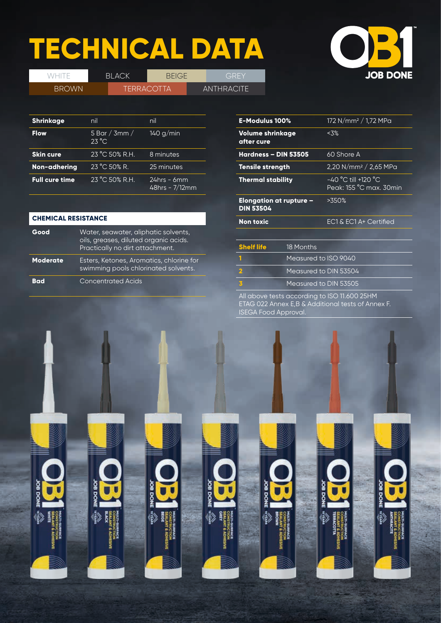# **TECHNICAL DATA**

WHITE BLACK BEIGE GREY



| <b>BROWN</b>     |                | <b>TERRACOTTA</b> |                           | AN" |
|------------------|----------------|-------------------|---------------------------|-----|
|                  |                |                   |                           |     |
| <b>Shrinkage</b> | nil            |                   | nil                       |     |
| <b>Flow</b>      | $23^{\circ}$ C |                   | 5 Bar / 3mm / $140 g/min$ |     |
| <b>Skin cure</b> | 23 °C 50% R.H. |                   | 8 minutes                 |     |

**Non-adhering** 23 °C 50% R. 25 minutes **Full cure time** 23 °C 50% R.H. 24hrs - 6mm 48hrs - 7/12mm **THRACITE** 

| <b>CHEMICAL RESISTANCE</b> |                                                                                                                  |  |
|----------------------------|------------------------------------------------------------------------------------------------------------------|--|
| Good                       | Water, seawater, aliphatic solvents,<br>oils, greases, diluted organic acids.<br>Practically no dirt attachment. |  |
| Moderate                   | Esters, Ketones, Aromatics, chlorine for<br>swimming pools chlorinated solvents.                                 |  |
| Bad                        | <b>Concentrated Acids</b>                                                                                        |  |

| <b>E-Modulus 100%</b>                       |                       | 172 N/mm <sup>2</sup> / 1,72 MPa                 |  |
|---------------------------------------------|-----------------------|--------------------------------------------------|--|
| Volume shrinkage<br>after cure              |                       | < 3%                                             |  |
| Hardness - DIN 53505                        |                       | 60 Shore A                                       |  |
| <b>Tensile strength</b>                     |                       | 2,20 N/mm <sup>2</sup> / 2,65 MPa                |  |
| <b>Thermal stability</b>                    |                       | $-40$ °C till +120 °C<br>Peak: 155 °C max. 30min |  |
| Elongation at rupture -<br><b>DIN 53504</b> |                       | >350%                                            |  |
| <b>Non toxic</b>                            |                       | EC1 & EC1 A+ Certified                           |  |
|                                             |                       |                                                  |  |
| <b>Shelf life</b>                           | 18 Months             |                                                  |  |
| 1                                           | Measured to ISO 9040  |                                                  |  |
| $\overline{\mathbf{2}}$                     | Measured to DIN 53504 |                                                  |  |
| $\overline{\mathbf{3}}$                     | Measured to DIN 53505 |                                                  |  |
|                                             |                       |                                                  |  |

All above tests according to ISO 11.600 25HM ETAG 022 Annex E,B & Additional tests of Annex F. ISEGA Food Approval.